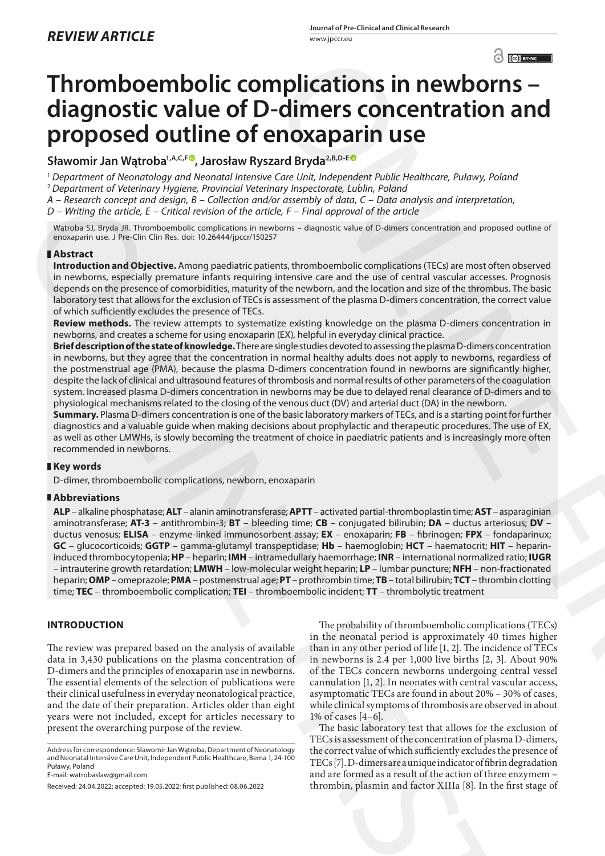# **Thromboembolic complications in newborns – diagnostic value of D-dimers concentration and proposed outline of enoxaparin use**

Sławomir Jan Wątroba<sup>1, A, C, F®, Jarosław Ryszard Bryda<sup>2, B, D-E®</sup></sup>

<sup>1</sup> *Department of Neonatology and Neonatal Intensive Care Unit, Independent Public Healthcare, Puławy, Poland* <sup>2</sup> *Department of Veterinary Hygiene, Provincial Veterinary Inspectorate, Lublin, Poland*

*A – Research concept and design, B – Collection and/or assembly of data, C – Data analysis and interpretation,* 

*D – Writing the article, E – Critical revision of the article, F – Final approval of the article*

Wątroba SJ, Bryda JR. Thromboembolic complications in newborns – diagnostic value of D-dimers concentration and proposed outline of enoxaparin use. J Pre-Clin Clin Res. doi: 10.26444/jpccr/150257

# **Abstract**

**Introduction and Objective.** Among paediatric patients, thromboembolic complications (TECs) are most often observed in newborns, especially premature infants requiring intensive care and the use of central vascular accesses. Prognosis depends on the presence of comorbidities, maturity of the newborn, and the location and size of the thrombus. The basic laboratory test that allows for the exclusion of TECs is assessment of the plasma D-dimers concentration, the correct value of which sufficiently excludes the presence of TECs.

**Review methods.** The review attempts to systematize existing knowledge on the plasma D-dimers concentration in newborns, and creates a scheme for using enoxaparin (EX), helpful in everyday clinical practice.

**Brief description of the state of knowledge.** There are single studies devoted to assessing the plasma D-dimers concentration in newborns, but they agree that the concentration in normal healthy adults does not apply to newborns, regardless of the postmenstrual age (PMA), because the plasma D-dimers concentration found in newborns are significantly higher, despite the lack of clinical and ultrasound features of thrombosis and normal results of other parameters of the coagulation system. Increased plasma D-dimers concentration in newborns may be due to delayed renal clearance of D-dimers and to physiological mechanisms related to the closing of the venous duct (DV) and arterial duct (DA) in the newborn.

**Summary.** Plasma D-dimers concentration is one of the basic laboratory markers of TECs, and is a starting point for further diagnostics and a valuable guide when making decisions about prophylactic and therapeutic procedures. The use of EX, as well as other LMWHs, is slowly becoming the treatment of choice in paediatric patients and is increasingly more often recommended in newborns.

# **Key words**

D-dimer, thromboembolic complications, newborn, enoxaparin

## **Abbreviations**

**ALP** – alkaline phosphatase; **ALT** – alanin aminotransferase; **APTT** – activated partial-thromboplastin time; **AST** – asparaginian aminotransferase; **AT-3** – antithrombin-3; **BT** – bleeding time; **CB** – conjugated bilirubin; **DA** – ductus arteriosus; **DV** – ductus venosus; **ELISA** – enzyme-linked immunosorbent assay; **EX** – enoxaparin; **FB** – fibrinogen; **FPX** – fondaparinux; **GC** – glucocorticoids; **GGTP** – gamma-glutamyl transpeptidase; **Hb** – haemoglobin; **HCT** – haematocrit; **HIT** – heparininduced thrombocytopenia; **HP** – heparin; **IMH** – intramedullary haemorrhage; **INR** – international normalized ratio; **IUGR**  – intrauterine growth retardation; **LMWH** – low-molecular weight heparin; **LP** – lumbar puncture; **NFH** – non-fractionated heparin; **OMP** – omeprazole; **PMA** – postmenstrual age; **PT** – prothrombin time; **TB** – total bilirubin; **TCT** – thrombin clotting time; **TEC** – thromboembolic complication; **TEI** – thromboembolic incident; **TT** – thrombolytic treatment A leaster through tent detection of contents the contents of the matrix is the contents of the contents of the contents of the contents of the contents of the contents of the contents of the contents of the contents of th

# **INTRODUCTION**

The review was prepared based on the analysis of available data in 3,430 publications on the plasma concentration of D-dimers and the principles of enoxaparin use in newborns. The essential elements of the selection of publications were their clinical usefulness in everyday neonatological practice, and the date of their preparation. Articles older than eight years were not included, except for articles necessary to present the overarching purpose of the review.

Address for correspondence: Sławomir Jan Wątroba, Department of Neonatology and Neonatal Intensive Care Unit, Independent Public Healthcare, Bema 1, 24-100 Puławy, Poland

E-mail: watrobaslaw@gmail.com

Received: 24.04.2022; accepted: 19.05.2022; first published: 08.06.2022

The probability of thromboembolic complications (TECs) in the neonatal period is approximately 40 times higher than in any other period of life [1, 2]. The incidence of TECs in newborns is 2.4 per 1,000 live births [2, 3]. About 90% of the TECs concern newborns undergoing central vessel cannulation [1, 2]. In neonates with central vascular access, asymptomatic TECs are found in about 20% – 30% of cases, while clinical symptoms of thrombosis are observed in about 1% of cases [4–6]. **C[ON](https://orcid.org/0000-0002-2551-2163)SULTER CONSULTER CONSULTER CONSULTER CONSULTER CONSULTER CONSULTER CONSULTER CONSULTER CONSULTER CONSULTER CONSULTER CONSULTER CONSULTER CONSULTER CONSULTER CONSULTER CONSULTER CONSULTER CONSULTER CONSULTER CONSULTER** 

The basic laboratory test that allows for the exclusion of TECs is assessment of the concentration of plasma D-dimers, the correct value of which sufficiently excludes the presence of TECs [7]. D-dimers are a unique indicator of fibrin degradation and are formed as a result of the action of three enzymem – thrombin, plasmin and factor XIIIa [8]. In the first stage of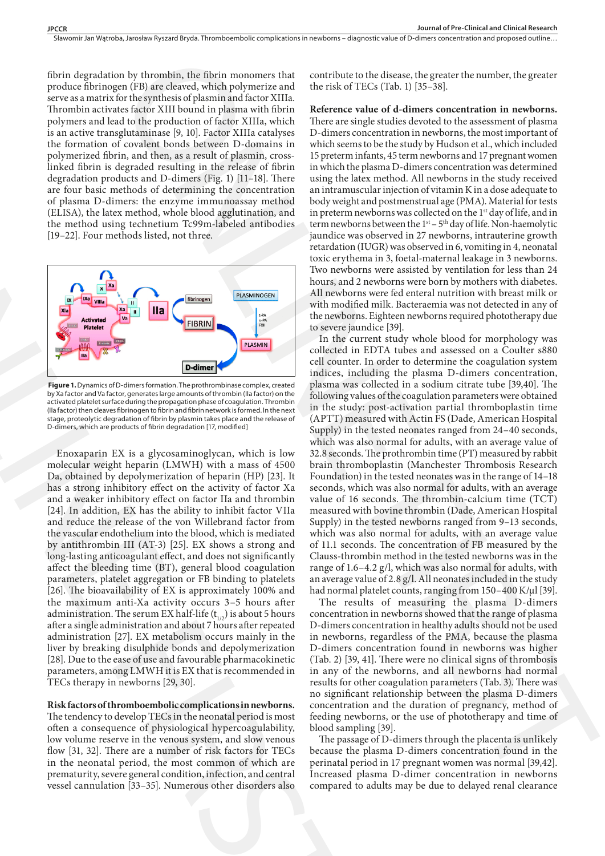Sławomir Jan Watroba, Jarosław Ryszard Bryda. Thromboembolic complications in newborns – diagnostic value of D-dimers concentration and proposed outline..

fibrin degradation by thrombin, the fibrin monomers that produce fibrinogen (FB) are cleaved, which polymerize and serve as a matrix for the synthesis of plasmin and factor XIIIa. Thrombin activates factor XIII bound in plasma with fibrin polymers and lead to the production of factor XIIIa, which is an active transglutaminase [9, 10]. Factor XIIIa catalyses the formation of covalent bonds between D-domains in polymerized fibrin, and then, as a result of plasmin, crosslinked fibrin is degraded resulting in the release of fibrin degradation products and D-dimers (Fig. 1) [11–18]. There are four basic methods of determining the concentration of plasma D-dimers: the enzyme immunoassay method (ELISA), the latex method, whole blood agglutination, and the method using technetium Tc99m-labeled antibodies [19–22]. Four methods listed, not three.



 **Figure 1.** Dynamics of D-dimers formation. The prothrombinase complex, created by Xa factor and Va factor, generates large amounts of thrombin (IIa factor) on the activated platelet surface during the propagation phase of coagulation. Thrombin (IIa factor) then cleaves fibrinogen to fibrin and fibrin network is formed. In the next stage, proteolytic degradation of fibrin by plasmin takes place and the release of D-dimers, which are products of fibrin degradation [17, modified]

Enoxaparin EX is a glycosaminoglycan, which is low molecular weight heparin (LMWH) with a mass of 4500 Da, obtained by depolymerization of heparin (HP) [23]. It has a strong inhibitory effect on the activity of factor Xa and a weaker inhibitory effect on factor IIa and thrombin [24]. In addition, EX has the ability to inhibit factor VIIa and reduce the release of the von Willebrand factor from the vascular endothelium into the blood, which is mediated by antithrombin III (AT-3) [25]. EX shows a strong and long-lasting anticoagulant effect, and does not significantly affect the bleeding time (BT), general blood coagulation parameters, platelet aggregation or FB binding to platelets [26]. The bioavailability of EX is approximately 100% and the maximum anti-Xa activity occurs 3–5 hours after administration. The serum EX half-life  $(t_{1/2})$  is about 5 hours after a single administration and about 7 hours after repeated administration [27]. EX metabolism occurs mainly in the liver by breaking disulphide bonds and depolymerization [28]. Due to the ease of use and favourable pharmacokinetic parameters, among LMWH it is EX that is recommended in TECs therapy in newborns [29, 30]. of planes the convention of bood upglittration, and bood vertices<br>(ELISA), the latter method, whole blood agglittration, and in preter<br>the method stired using technical method. Since the method is the spanner<br>(19-2-2). Fo

### **Risk factors of thromboembolic complications in newborns.**

The tendency to develop TECs in the neonatal period is most often a consequence of physiological hypercoagulability, low volume reserve in the venous system, and slow venous flow [31, 32]. There are a number of risk factors for TECs in the neonatal period, the most common of which are prematurity, severe general condition, infection, and central vessel cannulation [33–35]. Numerous other disorders also

contribute to the disease, the greater the number, the greater the risk of TECs (Tab. 1) [35–38].

**Reference value of d-dimers concentration in newborns.**  There are single studies devoted to the assessment of plasma D-dimers concentration in newborns, the most important of which seems to be the study by Hudson et al., which included 15 preterm infants, 45 term newborns and 17 pregnant women in which the plasma D-dimers concentration was determined using the latex method. All newborns in the study received an intramuscular injection of vitamin K in a dose adequate to body weight and postmenstrual age (PMA). Material for tests in preterm newborns was collected on the 1<sup>st</sup> day of life, and in term newborns between the  $1<sup>st</sup> - 5<sup>th</sup>$  day of life. Non-haemolytic jaundice was observed in 27 newborns, intrauterine growth retardation (IUGR) was observed in 6, vomiting in 4, neonatal toxic erythema in 3, foetal-maternal leakage in 3 newborns. Two newborns were assisted by ventilation for less than 24 hours, and 2 newborns were born by mothers with diabetes. All newborns were fed enteral nutrition with breast milk or with modified milk. Bacteraemia was not detected in any of the newborns. Eighteen newborns required phototherapy due to severe jaundice [39].

In the current study whole blood for morphology was collected in EDTA tubes and assessed on a Coulter s880 cell counter. In order to determine the coagulation system indices, including the plasma D-dimers concentration, plasma was collected in a sodium citrate tube [39,40]. The following values of the coagulation parameters were obtained in the study: post-activation partial thromboplastin time (APTT) measured with Actin FS (Dade, American Hospital Supply) in the tested neonates ranged from 24–40 seconds, which was also normal for adults, with an average value of 32.8 seconds. The prothrombin time (PT) measured by rabbit brain thromboplastin (Manchester Thrombosis Research Foundation) in the tested neonates was in the range of 14–18 seconds, which was also normal for adults, with an average value of 16 seconds. The thrombin-calcium time (TCT) measured with bovine thrombin (Dade, American Hospital Supply) in the tested newborns ranged from 9–13 seconds, which was also normal for adults, with an average value of 11.1 seconds. The concentration of FB measured by the Clauss-thrombin method in the tested newborns was in the range of 1.6–4.2 g/l, which was also normal for adults, with an average value of 2.8 g/l. All neonates included in the study had normal platelet counts, ranging from 150-400 K/µl [39]. In by throughly, this is the constant that contribute the ideas, the greater the methods the responses of the specific the specific the specific the specific the specific the specific the specific the specific the specifi

The results of measuring the plasma D-dimers concentration in newborns showed that the range of plasma D-dimers concentration in healthy adults should not be used in newborns, regardless of the PMA, because the plasma D-dimers concentration found in newborns was higher (Tab. 2) [39, 41]. There were no clinical signs of thrombosis in any of the newborns, and all newborns had normal results for other coagulation parameters (Tab. 3). There was no significant relationship between the plasma D-dimers concentration and the duration of pregnancy, method of feeding newborns, or the use of phototherapy and time of blood sampling [39].

The passage of D-dimers through the placenta is unlikely because the plasma D-dimers concentration found in the perinatal period in 17 pregnant women was normal [39,42]. Increased plasma D-dimer concentration in newborns compared to adults may be due to delayed renal clearance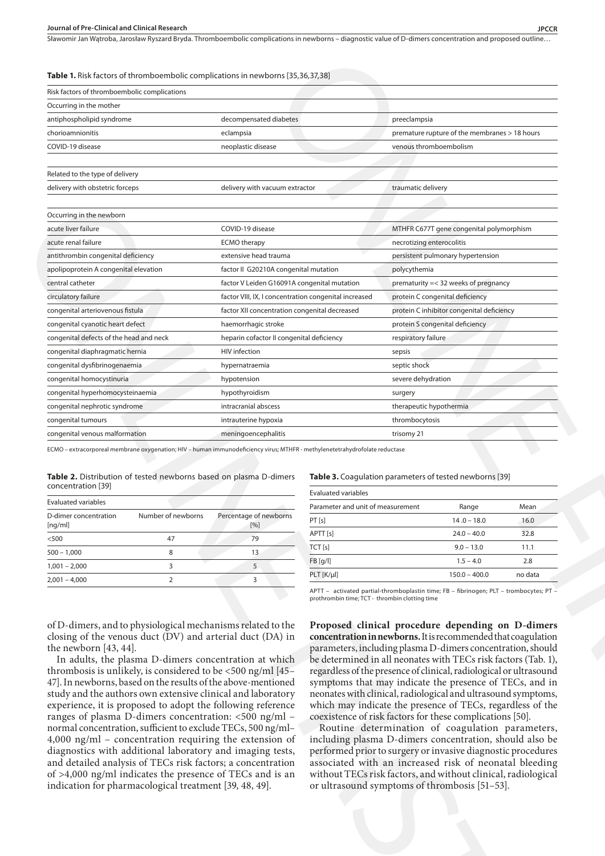#### **Journal of Pre-Clinical and Clinical Research JPCCR**

Sławomir Jan Wątroba, Jarosław Ryszard Bryda. Thromboembolic complications in newborns – diagnostic value of D-dimers concentration and proposed outline..

#### **Table 1.** Risk factors of thromboembolic complications in newborns [35,36,37,38]

| Occurring in the mother                                                                                                                                                                                                                                                                                                                                                                                                                                                  |                                                                                                                                                                                   |                                   |                                                                                                                                                                                                                                                                                                                                                                                                                                                                                                                                                                                                                                                                                                                                                                 |              |
|--------------------------------------------------------------------------------------------------------------------------------------------------------------------------------------------------------------------------------------------------------------------------------------------------------------------------------------------------------------------------------------------------------------------------------------------------------------------------|-----------------------------------------------------------------------------------------------------------------------------------------------------------------------------------|-----------------------------------|-----------------------------------------------------------------------------------------------------------------------------------------------------------------------------------------------------------------------------------------------------------------------------------------------------------------------------------------------------------------------------------------------------------------------------------------------------------------------------------------------------------------------------------------------------------------------------------------------------------------------------------------------------------------------------------------------------------------------------------------------------------------|--------------|
| antiphospholipid syndrome                                                                                                                                                                                                                                                                                                                                                                                                                                                | decompensated diabetes                                                                                                                                                            |                                   | preeclampsia                                                                                                                                                                                                                                                                                                                                                                                                                                                                                                                                                                                                                                                                                                                                                    |              |
| chorioamnionitis                                                                                                                                                                                                                                                                                                                                                                                                                                                         | eclampsia                                                                                                                                                                         |                                   | premature rupture of the membranes > 18 hours                                                                                                                                                                                                                                                                                                                                                                                                                                                                                                                                                                                                                                                                                                                   |              |
| COVID-19 disease                                                                                                                                                                                                                                                                                                                                                                                                                                                         | neoplastic disease                                                                                                                                                                |                                   | venous thromboembolism                                                                                                                                                                                                                                                                                                                                                                                                                                                                                                                                                                                                                                                                                                                                          |              |
| Related to the type of delivery                                                                                                                                                                                                                                                                                                                                                                                                                                          |                                                                                                                                                                                   |                                   |                                                                                                                                                                                                                                                                                                                                                                                                                                                                                                                                                                                                                                                                                                                                                                 |              |
| delivery with obstetric forceps                                                                                                                                                                                                                                                                                                                                                                                                                                          | delivery with vacuum extractor                                                                                                                                                    |                                   | traumatic delivery                                                                                                                                                                                                                                                                                                                                                                                                                                                                                                                                                                                                                                                                                                                                              |              |
|                                                                                                                                                                                                                                                                                                                                                                                                                                                                          |                                                                                                                                                                                   |                                   |                                                                                                                                                                                                                                                                                                                                                                                                                                                                                                                                                                                                                                                                                                                                                                 |              |
| Occurring in the newborn                                                                                                                                                                                                                                                                                                                                                                                                                                                 |                                                                                                                                                                                   |                                   |                                                                                                                                                                                                                                                                                                                                                                                                                                                                                                                                                                                                                                                                                                                                                                 |              |
| acute liver failure                                                                                                                                                                                                                                                                                                                                                                                                                                                      | COVID-19 disease                                                                                                                                                                  |                                   | MTHFR C677T gene congenital polymorphism                                                                                                                                                                                                                                                                                                                                                                                                                                                                                                                                                                                                                                                                                                                        |              |
| acute renal failure                                                                                                                                                                                                                                                                                                                                                                                                                                                      | <b>ECMO</b> therapy                                                                                                                                                               |                                   | necrotizing enterocolitis                                                                                                                                                                                                                                                                                                                                                                                                                                                                                                                                                                                                                                                                                                                                       |              |
| antithrombin congenital deficiency                                                                                                                                                                                                                                                                                                                                                                                                                                       | extensive head trauma                                                                                                                                                             |                                   | persistent pulmonary hypertension                                                                                                                                                                                                                                                                                                                                                                                                                                                                                                                                                                                                                                                                                                                               |              |
| apolipoprotein A congenital elevation                                                                                                                                                                                                                                                                                                                                                                                                                                    | factor II G20210A congenital mutation                                                                                                                                             |                                   | polycythemia                                                                                                                                                                                                                                                                                                                                                                                                                                                                                                                                                                                                                                                                                                                                                    |              |
| central catheter                                                                                                                                                                                                                                                                                                                                                                                                                                                         | factor V Leiden G16091A congenital mutation                                                                                                                                       |                                   | prematurity = < 32 weeks of pregnancy                                                                                                                                                                                                                                                                                                                                                                                                                                                                                                                                                                                                                                                                                                                           |              |
| circulatory failure                                                                                                                                                                                                                                                                                                                                                                                                                                                      | factor VIII, IX, I concentration congenital increased                                                                                                                             |                                   | protein C congenital deficiency                                                                                                                                                                                                                                                                                                                                                                                                                                                                                                                                                                                                                                                                                                                                 |              |
| congenital arteriovenous fistula                                                                                                                                                                                                                                                                                                                                                                                                                                         | factor XII concentration congenital decreased                                                                                                                                     |                                   | protein C inhibitor congenital deficiency                                                                                                                                                                                                                                                                                                                                                                                                                                                                                                                                                                                                                                                                                                                       |              |
| congenital cyanotic heart defect                                                                                                                                                                                                                                                                                                                                                                                                                                         | haemorrhagic stroke                                                                                                                                                               |                                   | protein S congenital deficiency                                                                                                                                                                                                                                                                                                                                                                                                                                                                                                                                                                                                                                                                                                                                 |              |
| congenital defects of the head and neck                                                                                                                                                                                                                                                                                                                                                                                                                                  | heparin cofactor II congenital deficiency                                                                                                                                         |                                   | respiratory failure                                                                                                                                                                                                                                                                                                                                                                                                                                                                                                                                                                                                                                                                                                                                             |              |
| congenital diaphragmatic hernia                                                                                                                                                                                                                                                                                                                                                                                                                                          | <b>HIV</b> infection                                                                                                                                                              |                                   | sepsis                                                                                                                                                                                                                                                                                                                                                                                                                                                                                                                                                                                                                                                                                                                                                          |              |
| congenital dysfibrinogenaemia                                                                                                                                                                                                                                                                                                                                                                                                                                            | hypernatraemia                                                                                                                                                                    |                                   | septic shock                                                                                                                                                                                                                                                                                                                                                                                                                                                                                                                                                                                                                                                                                                                                                    |              |
| congenital homocystinuria                                                                                                                                                                                                                                                                                                                                                                                                                                                | hypotension                                                                                                                                                                       |                                   | severe dehydration                                                                                                                                                                                                                                                                                                                                                                                                                                                                                                                                                                                                                                                                                                                                              |              |
| congenital hyperhomocysteinaemia                                                                                                                                                                                                                                                                                                                                                                                                                                         | hypothyroidism                                                                                                                                                                    |                                   | surgery                                                                                                                                                                                                                                                                                                                                                                                                                                                                                                                                                                                                                                                                                                                                                         |              |
| congenital nephrotic syndrome                                                                                                                                                                                                                                                                                                                                                                                                                                            | intracranial abscess                                                                                                                                                              |                                   | therapeutic hypothermia                                                                                                                                                                                                                                                                                                                                                                                                                                                                                                                                                                                                                                                                                                                                         |              |
| congenital tumours                                                                                                                                                                                                                                                                                                                                                                                                                                                       | intrauterine hypoxia                                                                                                                                                              |                                   | thrombocytosis                                                                                                                                                                                                                                                                                                                                                                                                                                                                                                                                                                                                                                                                                                                                                  |              |
| congenital venous malformation                                                                                                                                                                                                                                                                                                                                                                                                                                           | meningoencephalitis                                                                                                                                                               |                                   | trisomy 21                                                                                                                                                                                                                                                                                                                                                                                                                                                                                                                                                                                                                                                                                                                                                      |              |
| Evaluated variables<br>Number of newborns<br>D-dimer concentration                                                                                                                                                                                                                                                                                                                                                                                                       | Percentage of newborns                                                                                                                                                            | Parameter and unit of measurement | Range                                                                                                                                                                                                                                                                                                                                                                                                                                                                                                                                                                                                                                                                                                                                                           | Mean         |
| [ng/ml]                                                                                                                                                                                                                                                                                                                                                                                                                                                                  | [%]                                                                                                                                                                               | PT [s]<br>APTT [s]                | $14.0 -$<br>$-18.0$<br>$24.0 - 40.0$                                                                                                                                                                                                                                                                                                                                                                                                                                                                                                                                                                                                                                                                                                                            | 16.0<br>32.8 |
| $< 500$<br>47                                                                                                                                                                                                                                                                                                                                                                                                                                                            | 79                                                                                                                                                                                | TCT[s]                            | $9.0 - 13.0$                                                                                                                                                                                                                                                                                                                                                                                                                                                                                                                                                                                                                                                                                                                                                    | 11.1         |
| $500 - 1,000$<br>8                                                                                                                                                                                                                                                                                                                                                                                                                                                       | 13                                                                                                                                                                                |                                   | $1.5 - 4.0$                                                                                                                                                                                                                                                                                                                                                                                                                                                                                                                                                                                                                                                                                                                                                     | 2.8          |
| $\overline{3}$<br>$1,001 - 2,000$                                                                                                                                                                                                                                                                                                                                                                                                                                        | 5                                                                                                                                                                                 | FB [g/l]                          |                                                                                                                                                                                                                                                                                                                                                                                                                                                                                                                                                                                                                                                                                                                                                                 |              |
| $\overline{2}$<br>$2,001 - 4,000$                                                                                                                                                                                                                                                                                                                                                                                                                                        | 3                                                                                                                                                                                 | PLT [K/µl]                        | $150.0 - 400.0$<br>APTT - activated partial-thromboplastin time; FB - fibrinogen; PLT - trombocytes; PT -                                                                                                                                                                                                                                                                                                                                                                                                                                                                                                                                                                                                                                                       | no data      |
| of D-dimers, and to physiological mechanisms related to the<br>closing of the venous duct (DV) and arterial duct (DA) in<br>the newborn [43, 44].<br>In adults, the plasma D-dimers concentration at which<br>thrombosis is unlikely, is considered to be <500 ng/ml [45-<br>47]. In newborns, based on the results of the above-mentioned<br>study and the authors own extensive clinical and laboratory<br>experience, it is proposed to adopt the following reference | ranges of plasma D-dimers concentration: <500 ng/ml -<br>normal concentration, sufficient to exclude TECs, 500 ng/ml-<br>$4,000$ ng/ml - concentration requiring the extension of |                                   | Proposed clinical procedure depending on D-dimers<br>concentration in newborns. It is recommended that coagulation<br>parameters, including plasma D-dimers concentration, should<br>be determined in all neonates with TECs risk factors (Tab. 1),<br>regardless of the presence of clinical, radiological or ultrasound<br>symptoms that may indicate the presence of TECs, and in<br>neonates with clinical, radiological and ultrasound symptoms,<br>which may indicate the presence of TECs, regardless of the<br>coexistence of risk factors for these complications [50].<br>Routine determination of coagulation parameters,<br>including plasma D-dimers concentration, should also be<br>performed prior to surgery or invasive diagnostic procedures |              |

| <b>Table 2.</b> Distribution of tested newborns based on plasma D-dimers |  |  |  |
|--------------------------------------------------------------------------|--|--|--|
| concentration [39]                                                       |  |  |  |

| <b>Evaluated variables</b>       |                    |                               |
|----------------------------------|--------------------|-------------------------------|
| D-dimer concentration<br>[nq/ml] | Number of newborns | Percentage of newborns<br>[%] |
| < 500                            | 47                 | 79                            |
| $500 - 1,000$                    | 8                  | 13                            |
| $1,001 - 2,000$                  |                    |                               |
| $2,001 - 4,000$                  |                    |                               |

#### **Table 3.** Coagulation parameters of tested newborns [39]

| <b>Evaluated variables</b>        |                 |         |
|-----------------------------------|-----------------|---------|
| Parameter and unit of measurement | Range           | Mean    |
| PT[s]                             | $14.0 - 18.0$   | 16.0    |
| APTT [s]                          | $24.0 - 40.0$   | 32.8    |
| TCT[s]                            | $9.0 - 13.0$    | 11.1    |
| FB [q/l]                          | $1.5 - 4.0$     | 2.8     |
| PLT [K/µl]                        | $150.0 - 400.0$ | no data |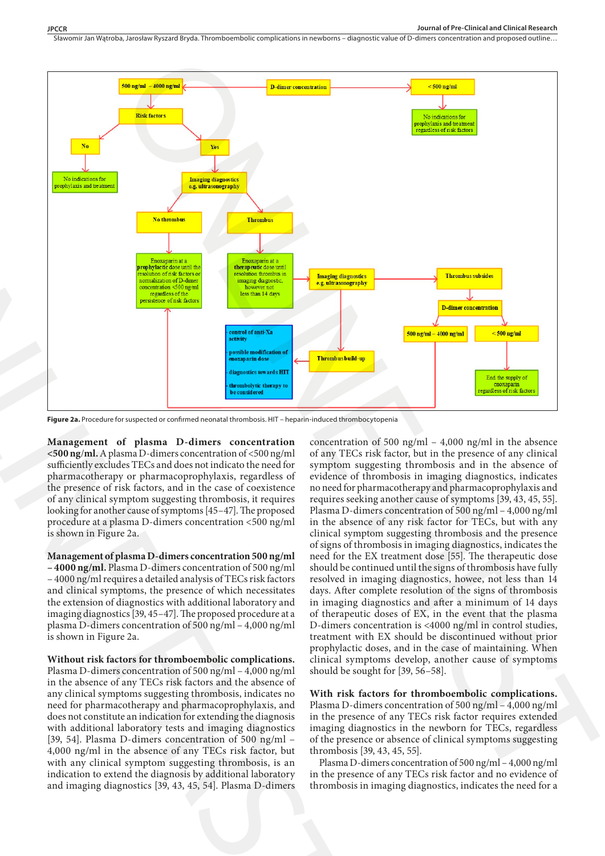Sławomir Jan Watroba, Jarosław Ryszard Bryda. Thromboembolic complications in newborns – diagnostic value of D-dimers concentration and proposed outline...



**Figure 2a.** Procedure for suspected or confirmed neonatal thrombosis. HIT – heparin-induced thrombocytopenia

**Management of plasma D-dimers concentration <500 ng**/**ml.** A plasma D-dimers concentration of <500 ng/ml sufficiently excludes TECs and does not indicato the need for pharmacotherapy or pharmacoprophylaxis, regardless of the presence of risk factors, and in the case of coexistence of any clinical symptom suggesting thrombosis, it requires looking for another cause of symptoms [45–47]. The proposed procedure at a plasma D-dimers concentration <500 ng/ml is shown in Figure 2a.

**Management of plasma D-dimers concentration 500 ng/ml – 4000 ng/ml.** Plasma D-dimers concentration of 500 ng/ml – 4000 ng/ml requires a detailed analysis of TECs risk factors and clinical symptoms, the presence of which necessitates the extension of diagnostics with additional laboratory and imaging diagnostics [39, 45–47]. The proposed procedure at a plasma D-dimers concentration of 500 ng/ml – 4,000 ng/ml is shown in Figure 2a.

**Without risk factors for thromboembolic complications.**  Plasma D-dimers concentration of 500 ng/ml – 4,000 ng/ml in the absence of any TECs risk factors and the absence of any clinical symptoms suggesting thrombosis, indicates no need for pharmacotherapy and pharmacoprophylaxis, and does not constitute an indication for extending the diagnosis with additional laboratory tests and imaging diagnostics [39, 54]. Plasma D-dimers concentration of 500 ng/ml – 4,000 ng/ml in the absence of any TECs risk factor, but with any clinical symptom suggesting thrombosis, is an indication to extend the diagnosis by additional laboratory and imaging diagnostics [39, 43, 45, 54]. Plasma D-dimers

concentration of 500 ng/ml – 4,000 ng/ml in the absence of any TECs risk factor, but in the presence of any clinical symptom suggesting thrombosis and in the absence of evidence of thrombosis in imaging diagnostics, indicates no need for pharmacotherapy and pharmacoprophylaxis and requires seeking another cause of symptoms [39, 43, 45, 55]. Plasma D-dimers concentration of 500 ng/ml – 4,000 ng/ml in the absence of any risk factor for TECs, but with any clinical symptom suggesting thrombosis and the presence of signs of thrombosis in imaging diagnostics, indicates the need for the EX treatment dose [55]. The therapeutic dose should be continued until the signs of thrombosis have fully resolved in imaging diagnostics, howee, not less than 14 days. After complete resolution of the signs of thrombosis in imaging diagnostics and after a minimum of 14 days of therapeutic doses of EX, in the event that the plasma D-dimers concentration is <4000 ng/ml in control studies, treatment with EX should be discontinued without prior prophylactic doses, and in the case of maintaining. When clinical symptoms develop, another cause of symptoms should be sought for [39, 56–58].

**With risk factors for thromboembolic complications.**  Plasma D-dimers concentration of 500 ng/ml – 4,000 ng/ml in the presence of any TECs risk factor requires extended imaging diagnostics in the newborn for TECs, regardless of the presence or absence of clinical symptoms suggesting thrombosis [39, 43, 45, 55].

Plasma D-dimers concentration of 500 ng/ml – 4,000 ng/ml in the presence of any TECs risk factor and no evidence of thrombosis in imaging diagnostics, indicates the need for a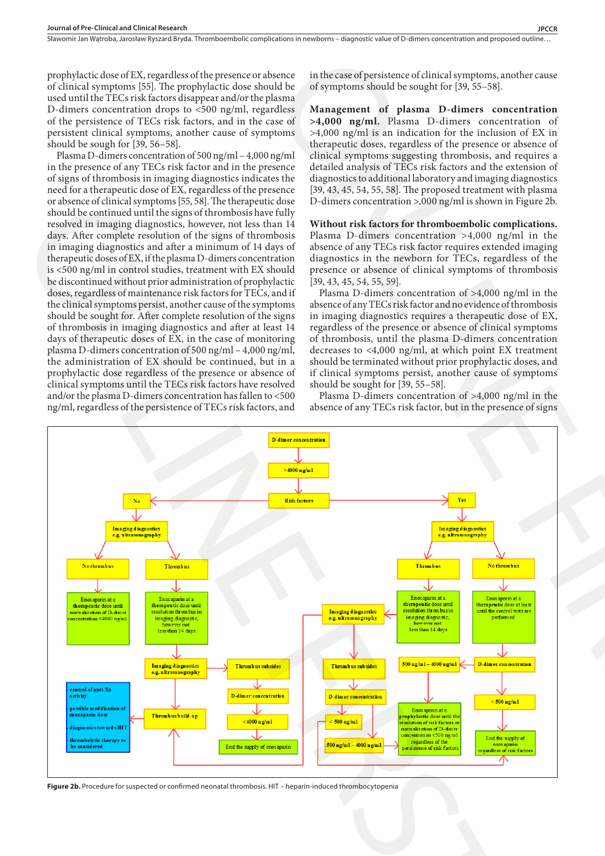prophylactic dose of EX, regardless of the presence or absence of clinical symptoms [55]. The prophylactic dose should be used until the TECs risk factors disappear and/or the plasma D-dimers concentration drops to <500 ng/ml, regardless of the persistence of TECs risk factors, and in the case of persistent clinical symptoms, another cause of symptoms should be sough for [39, 56–58].

Plasma D-dimers concentration of 500 ng/ml – 4,000 ng/ml in the presence of any TECs risk factor and in the presence of signs of thrombosis in imaging diagnostics indicates the need for a therapeutic dose of EX, regardless of the presence or absence of clinical symptoms [55, 58]. The therapeutic dose should be continued until the signs of thrombosis have fully resolved in imaging diagnostics, however, not less than 14 days. After complete resolution of the signs of thrombosis in imaging diagnostics and after a minimum of 14 days of therapeutic doses of EX, if the plasma D-dimers concentration is <500 ng/ml in control studies, treatment with EX should be discontinued without prior administration of prophylactic doses, regardless of maintenance risk factors for TECs, and if the clinical symptoms persist, another cause of the symptoms should be sought for. After complete resolution of the signs of thrombosis in imaging diagnostics and after at least 14 days of therapeutic doses of EX, in the case of monitoring plasma D-dimers concentration of 500 ng/ml – 4,000 ng/ml, the administration of EX should be continued, but in a prophylactic dose regardless of the presence or absence of clinical symptoms until the TECs risk factors have resolved and/or the plasma D-dimers concentration has fallen to <500 ng/ml, regardless of the persistence of TECs risk factors, and

in the case of persistence of clinical symptoms, another cause of symptoms should be sought for [39, 55–58].

**Management of plasma D-dimers concentration >4,000 ng/ml.** Plasma D-dimers concentration of >4,000 ng/ml is an indication for the inclusion of EX in therapeutic doses, regardless of the presence or absence of clinical symptoms suggesting thrombosis, and requires a detailed analysis of TECs risk factors and the extension of diagnostics to additional laboratory and imaging diagnostics [39, 43, 45, 54, 55, 58]. The proposed treatment with plasma D-dimers concentration >,000 ng/ml is shown in Figure 2b.

# **Without risk factors for thromboembolic complications.**  Plasma D-dimers concentration >4,000 ng/ml in the absence of any TECs risk factor requires extended imaging

diagnostics in the newborn for TECs, regardless of the presence or absence of clinical symptoms of thrombosis [39, 43, 45, 54, 55, 59]. Plasma D-dimers concentration of >4,000 ng/ml in the absence of any TECs risk factor and no evidence of thrombosis

in imaging diagnostics requires a therapeutic dose of EX, regardless of the presence or absence of clinical symptoms of thrombosis, until the plasma D-dimers concentration decreases to <4,000 ng/ml, at which point EX treatment should be terminated without prior prophylactic doses, and if clinical symptoms persist, another cause of symptoms should be sought for [39, 55–58].

Plasma D-dimers concentration of >4,000 ng/ml in the absence of any TECs risk factor, but in the presence of signs



**Figure 2b.** Procedure for suspected or confirmed neonatal thrombosis. HIT – heparin-induced thrombocytopenia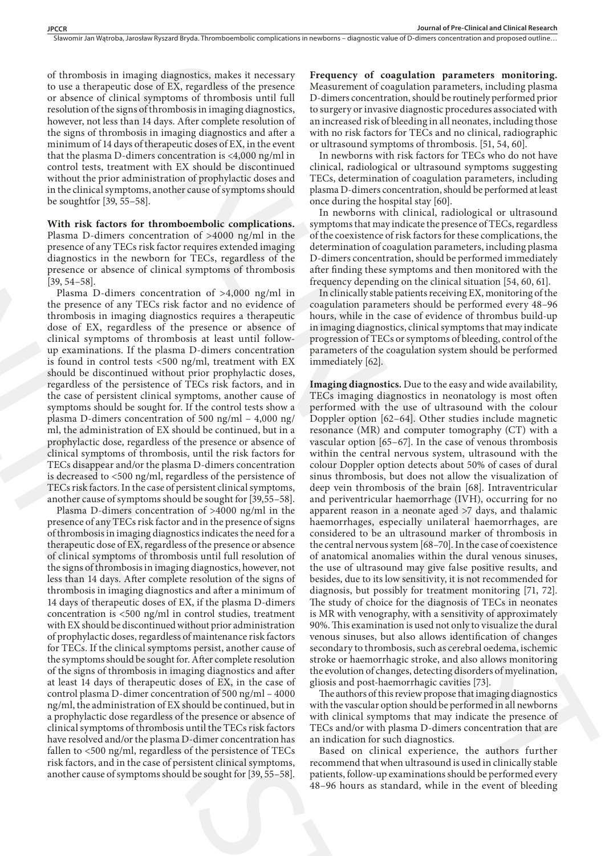Sławomir Jan Watroba, Jarosław Ryszard Bryda. Thromboembolic complications in newborns – diagnostic value of D-dimers concentration and proposed outline..

of thrombosis in imaging diagnostics, makes it necessary to use a therapeutic dose of EX, regardless of the presence or absence of clinical symptoms of thrombosis until full resolution of the signs of thrombosis in imaging diagnostics, however, not less than 14 days. After complete resolution of the signs of thrombosis in imaging diagnostics and after a minimum of 14 days of therapeutic doses of EX, in the event that the plasma D-dimers concentration is <4,000 ng/ml in control tests, treatment with EX should be discontinued without the prior administration of prophylactic doses and in the clinical symptoms, another cause of symptoms should be soughtfor [39, 55–58].

# **With risk factors for thromboembolic complications.**

Plasma D-dimers concentration of >4000 ng/ml in the presence of any TECs risk factor requires extended imaging diagnostics in the newborn for TECs, regardless of the presence or absence of clinical symptoms of thrombosis [39, 54–58].

Plasma D-dimers concentration of >4,000 ng/ml in the presence of any TECs risk factor and no evidence of thrombosis in imaging diagnostics requires a therapeutic dose of EX, regardless of the presence or absence of clinical symptoms of thrombosis at least until followup examinations. If the plasma D-dimers concentration is found in control tests <500 ng/ml, treatment with EX should be discontinued without prior prophylactic doses, regardless of the persistence of TECs risk factors, and in the case of persistent clinical symptoms, another cause of symptoms should be sought for. If the control tests show a plasma D-dimers concentration of 500 ng/ml – 4,000 ng/ ml, the administration of EX should be continued, but in a prophylactic dose, regardless of the presence or absence of clinical symptoms of thrombosis, until the risk factors for TECs disappear and/or the plasma D-dimers concentration is decreased to <500 ng/ml, regardless of the persistence of TECs risk factors. In the case of persistent clinical symptoms, another cause of symptoms should be sought for [39,55–58].

Plasma D-dimers concentration of >4000 ng/ml in the presence of any TECs risk factor and in the presence of signs of thrombosis in imaging diagnostics indicates the need for a therapeutic dose of EX, regardless of the presence or absence of clinical symptoms of thrombosis until full resolution of the signs of thrombosis in imaging diagnostics, however, not less than 14 days. After complete resolution of the signs of thrombosis in imaging diagnostics and after a minimum of 14 days of therapeutic doses of EX, if the plasma D-dimers concentration is <500 ng/ml in control studies, treatment with EX should be discontinued without prior administration of prophylactic doses, regardless of maintenance risk factors for TECs. If the clinical symptoms persist, another cause of the symptoms should be sought for. After complete resolution of the signs of thrombosis in imaging diagnostics and after at least 14 days of therapeutic doses of EX, in the case of control plasma D-dimer concentration of 500 ng/ml – 4000 ng/ml, the administration of EX should be continued, but in a prophylactic dose regardless of the presence or absence of clinical symptoms of thrombosis until the TECs risk factors have resolved and/or the plasma D-dimer concentration has fallen to <500 ng/ml, regardless of the persistence of TECs risk factors, and in the case of persistent clinical symptoms, another cause of symptoms should be sought for [39, 55–58]. be soughther [39, 35–38].<br>
With risk factors for thromboenbolic complications. In one different<br>
With risk factors for thromboenbolic complications. In new Hamm L-dimer restriction of 54000 ng/ml in the step<br>
planeared is

**Frequency of coagulation parameters monitoring.**  Measurement of coagulation parameters, including plasma D-dimers concentration, should be routinely performed prior to surgery or invasive diagnostic procedures associated with an increased risk of bleeding in all neonates, including those with no risk factors for TECs and no clinical, radiographic or ultrasound symptoms of thrombosis. [51, 54, 60].

In newborns with risk factors for TECs who do not have clinical, radiological or ultrasound symptoms suggesting TECs, determination of coagulation parameters, including plasma D-dimers concentration, should be performed at least once during the hospital stay [60].

In newborns with clinical, radiological or ultrasound symptoms that may indicate the presence of TECs, regardless of the coexistence of risk factors for these complications, the determination of coagulation parameters, including plasma D-dimers concentration, should be performed immediately after finding these symptoms and then monitored with the frequency depending on the clinical situation [54, 60, 61].

In clinically stable patients receiving EX, monitoring of the coagulation parameters should be performed every 48–96 hours, while in the case of evidence of thrombus build-up in imaging diagnostics, clinical symptoms that may indicate progression of TECs or symptoms of bleeding, control of the parameters of the coagulation system should be performed immediately [62].

**Imaging diagnostics.** Due to the easy and wide availability, TECs imaging diagnostics in neonatology is most often performed with the use of ultrasound with the colour Doppler option [62–64]. Other studies include magnetic resonance (MR) and computer tomography (CT) with a vascular option [65–67]. In the case of venous thrombosis within the central nervous system, ultrasound with the colour Doppler option detects about 50% of cases of dural sinus thrombosis, but does not allow the visualization of deep vein thrombosis of the brain [68]. Intraventricular and periventricular haemorrhage (IVH), occurring for no apparent reason in a neonate aged >7 days, and thalamic haemorrhages, especially unilateral haemorrhages, are considered to be an ultrasound marker of thrombosis in the central nervous system [68–70]. In the case of coexistence of anatomical anomalies within the dural venous sinuses, the use of ultrasound may give false positive results, and besides, due to its low sensitivity, it is not recommended for diagnosis, but possibly for treatment monitoring [71, 72]. The study of choice for the diagnosis of TECs in neonates is MR with venography, with a sensitivity of approximately 90%. This examination is used not only to visualize the dural venous sinuses, but also allows identification of changes secondary to thrombosis, such as cerebral oedema, ischemic stroke or haemorrhagic stroke, and also allows monitoring the evolution of changes, detecting disorders of myelination, gliosis and post-haemorrhagic cavities [73]. imaging diagnositics, makin is treessary Frequency of congulation parameters monitoring.<br>
In downed EX, rupture and Maxmed and the presence of the state of the state of the state of the state of the state of the state of

The authors of this review propose that imaging diagnostics with the vascular option should be performed in all newborns with clinical symptoms that may indicate the presence of TECs and/or with plasma D-dimers concentration that are an indication for such diagnostics.

Based on clinical experience, the authors further recommend that when ultrasound is used in clinically stable patients, follow-up examinations should be performed every 48–96 hours as standard, while in the event of bleeding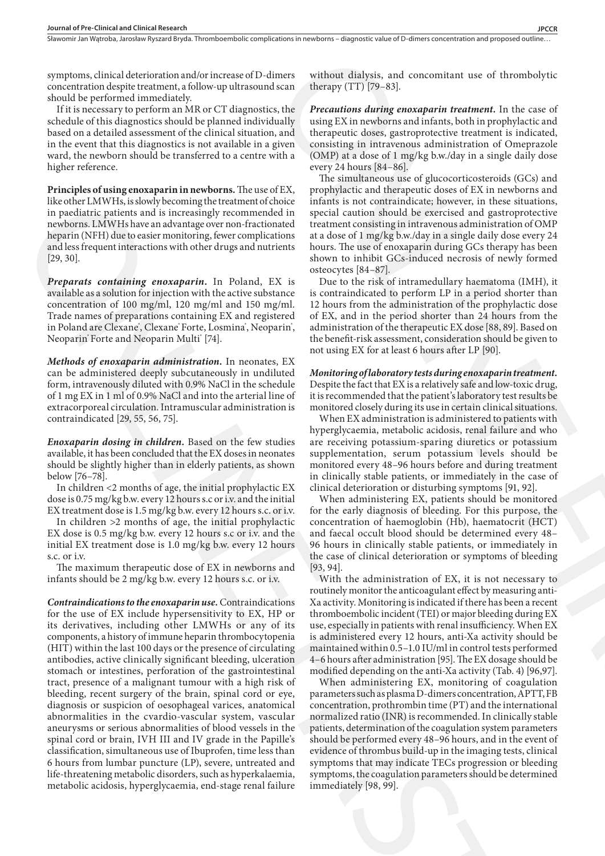symptoms, clinical deterioration and/or increase of D-dimers concentration despite treatment, a follow-up ultrasound scan should be performed immediately.

If it is necessary to perform an MR or CT diagnostics, the schedule of this diagnostics should be planned individually based on a detailed assessment of the clinical situation, and in the event that this diagnostics is not available in a given ward, the newborn should be transferred to a centre with a higher reference.

**Principles of using enoxaparin in newborns.** The use of EX, like other LMWHs, is slowly becoming the treatment of choice in paediatric patients and is increasingly recommended in newborns. LMWHs have an advantage over non-fractionated heparin (NFH) due to easier monitoring, fewer complications and less frequent interactions with other drugs and nutrients [29, 30].

*Preparats containing enoxaparin***.** In Poland, EX is available as a solution for injection with the active substance concentration of 100 mg/ml, 120 mg/ml and 150 mg/ml. Trade names of preparations containing EX and registered in Poland are Clexane", Clexane" Forte, Losmina", Neoparin", Neoparin® Forte and Neoparin Multi® [74].

*Methods of enoxaparin administration.* In neonates, EX can be administered deeply subcutaneously in undiluted form, intravenously diluted with 0.9% NaCl in the schedule of 1 mg EX in 1 ml of 0.9% NaCl and into the arterial line of extracorporeal circulation. Intramuscular administration is contraindicated [29, 55, 56, 75].

*Enoxaparin dosing in children.* Based on the few studies available, it has been concluded that the EX doses in neonates should be slightly higher than in elderly patients, as shown below [76–78].

In children <2 months of age, the initial prophylactic EX dose is 0.75 mg/kg b.w. every 12 hours s.c or i.v. and the initial EX treatment dose is 1.5 mg/kg b.w. every 12 hours s.c. or i.v.

In children >2 months of age, the initial prophylactic EX dose is 0.5 mg/kg b.w. every 12 hours s.c or i.v. and the initial EX treatment dose is 1.0 mg/kg b.w. every 12 hours s.c. or i.v.

The maximum therapeutic dose of EX in newborns and infants should be 2 mg/kg b.w. every 12 hours s.c. or i.v.

*Contraindications to the enoxaparin use.* Contraindications for the use of EX include hypersensitivity to EX, HP or its derivatives, including other LMWHs or any of its components, a history of immune heparin thrombocytopenia (HIT) within the last 100 days or the presence of circulating antibodies, active clinically significant bleeding, ulceration stomach or intestines, perforation of the gastrointestinal tract, presence of a malignant tumour with a high risk of bleeding, recent surgery of the brain, spinal cord or eye, diagnosis or suspicion of oesophageal varices, anatomical abnormalities in the cvardio-vascular system, vascular aneurysms or serious abnormalities of blood vessels in the spinal cord or brain, IVH III and IV grade in the Papille's classification, simultaneous use of Ibuprofen, time less than 6 hours from lumbar puncture (LP), severe, untreated and life-threatening metabolic disorders, such as hyperkalaemia, metabolic acidosis, hyperglycaemia, end-stage renal failure In the change of the state of the state of the state of the state of the state of the state of the state of the state of the state of the state of the state of the state of the state of the state of the state of the state

without dialysis, and concomitant use of thrombolytic therapy (TT) [79–83].

*Precautions during enoxaparin treatment.* In the case of using EX in newborns and infants, both in prophylactic and therapeutic doses, gastroprotective treatment is indicated, consisting in intravenous administration of Omeprazole (OMP) at a dose of 1 mg/kg b.w./day in a single daily dose every 24 hours [84–86].

The simultaneous use of glucocorticosteroids (GCs) and prophylactic and therapeutic doses of EX in newborns and infants is not contraindicate; however, in these situations, special caution should be exercised and gastroprotective treatment consisting in intravenous administration of OMP at a dose of 1 mg/kg b.w./day in a single daily dose every 24 hours. The use of enoxaparin during GCs therapy has been shown to inhibit GCs-induced necrosis of newly formed osteocytes [84–87].

Due to the risk of intramedullary haematoma (IMH), it is contraindicated to perform LP in a period shorter than 12 hours from the administration of the prophylactic dose of EX, and in the period shorter than 24 hours from the administration of the therapeutic EX dose [88, 89]. Based on the benefit-risk assessment, consideration should be given to not using EX for at least 6 hours after LP [90].

# *Monitoring of laboratory tests during enoxaparin treatment.* Despite the fact that EX is a relatively safe and low-toxic drug, it is recommended that the patient's laboratory test results be monitored closely during its use in certain clinical situations.

When EX administration is administered to patients with hyperglycaemia, metabolic acidosis, renal failure and who are receiving potassium-sparing diuretics or potassium supplementation, serum potassium levels should be monitored every 48–96 hours before and during treatment in clinically stable patients, or immediately in the case of clinical deterioration or disturbing symptoms [91, 92].

When administering EX, patients should be monitored for the early diagnosis of bleeding. For this purpose, the concentration of haemoglobin (Hb), haematocrit (HCT) and faecal occult blood should be determined every 48– 96 hours in clinically stable patients, or immediately in the case of clinical deterioration or symptoms of bleeding [93, 94].

With the administration of EX, it is not necessary to routinely monitor the anticoagulant effect by measuring anti-Xa activity. Monitoring is indicated if there has been a recent thromboembolic incident (TEI) or major bleeding during EX use, especially in patients with renal insufficiency. When EX is administered every 12 hours, anti-Xa activity should be maintained within 0.5–1.0 IU/ml in control tests performed 4–6 hours after administration [95]. The EX dosage should be modified depending on the anti-Xa activity (Tab. 4) [96,97].

When administering EX, monitoring of coagulation parameters such as plasma D-dimers concentration, APTT, FB concentration, prothrombin time (PT) and the international normalized ratio (INR) is recommended. In clinically stable patients, determination of the coagulation system parameters should be performed every 48–96 hours, and in the event of evidence of thrombus build-up in the imaging tests, clinical symptoms that may indicate TECs progression or bleeding symptoms, the coagulation parameters should be determined immediately [98, 99]. iners without dialysis, and concomiant use of thrombolytic<br>ulserar therapy (171) [79-83].<br>
therapy (171) [79-83].<br>
the Prezentation dialysis encode thrombolytic shear between the state of<br>
tatility using FN in newbors and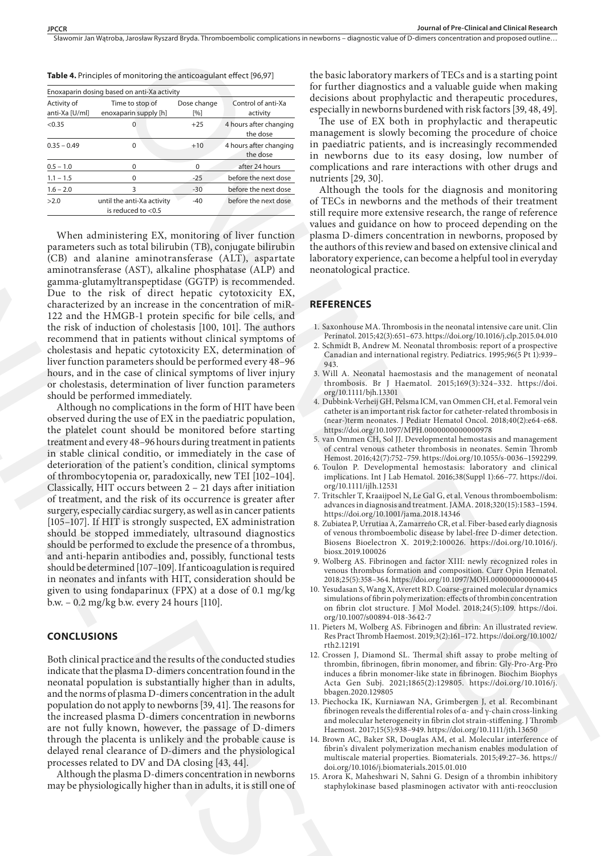Sławomir Jan Watroba, Jarosław Ryszard Bryda. Thromboembolic complications in newborns – diagnostic value of D-dimers concentration and proposed outline..

|                               | Enoxaparin dosing based on anti-Xa activity         |                    |                                    |
|-------------------------------|-----------------------------------------------------|--------------------|------------------------------------|
| Activity of<br>anti-Xa [U/ml] | Time to stop of<br>enoxaparin supply [h]            | Dose change<br>[%] | Control of anti-Xa<br>activity     |
| < 0.35                        | 0                                                   | $+25$              | 4 hours after changing<br>the dose |
| $0.35 - 0.49$                 | 0                                                   | $+10$              | 4 hours after changing<br>the dose |
| $0.5 - 1.0$                   | 0                                                   | $\Omega$           | after 24 hours                     |
| $1.1 - 1.5$                   | 0                                                   | $-25$              | before the next dose               |
| $1.6 - 2.0$                   | 3                                                   | $-30$              | before the next dose               |
| >2.0                          | until the anti-Xa activity<br>is reduced to $<$ 0.5 | $-40$              | before the next dose               |
|                               |                                                     |                    |                                    |

**Table 4.** Principles of monitoring the anticoagulant effect [96,97]

When administering EX, monitoring of liver function parameters such as total bilirubin (TB), conjugate bilirubin (CB) and alanine aminotransferase (ALT), aspartate aminotransferase (AST), alkaline phosphatase (ALP) and gamma-glutamyltranspeptidase (GGTP) is recommended. Due to the risk of direct hepatic cytotoxicity EX, characterized by an increase in the concentration of miR-122 and the HMGB-1 protein specific for bile cells, and the risk of induction of cholestasis [100, 101]. The authors recommend that in patients without clinical symptoms of cholestasis and hepatic cytotoxicity EX, determination of liver function parameters should be performed every 48–96 hours, and in the case of clinical symptoms of liver injury or cholestasis, determination of liver function parameters should be performed immediately.

Although no complications in the form of HIT have been observed during the use of EX in the paediatric population, the platelet count should be monitored before starting treatment and every 48–96 hours during treatment in patients in stable clinical conditio, or immediately in the case of deterioration of the patient's condition, clinical symptoms of thrombocytopenia or, paradoxically, new TEI [102–104]. Classically, HIT occurs between 2 – 21 days after initiation of treatment, and the risk of its occurrence is greater after surgery, especially cardiac surgery, as well as in cancer patients [105–107]. If HIT is strongly suspected, EX administration should be stopped immediately, ultrasound diagnostics should be performed to exclude the presence of a thrombus, and anti-heparin antibodies and, possibly, functional tests should be determined [107–109]. If anticoagulation is required in neonates and infants with HIT, consideration should be given to using fondaparinux (FPX) at a dose of 0.1 mg/kg b.w. – 0.2 mg/kg b.w. every 24 hours [110]. The baseling and the stationary result that is the stationary particle and is a stationary of the stationary interactionary and the stationary interactionary interactionary interactionary interactionary interactionary int 26<br>
outher anothesis acceled to the first control of the smallent and state of the matrices acceled to the matrices of the first matrices of the first matrices of the matrices of the matrices of the smallent control of th

# **CONCLUSIONS**

Both clinical practice and the results of the conducted studies indicate that the plasma D-dimers concentration found in the neonatal population is substantially higher than in adults, and the norms of plasma D-dimers concentration in the adult population do not apply to newborns [39, 41]. The reasons for the increased plasma D-dimers concentration in newborns are not fully known, however, the passage of D-dimers through the placenta is unlikely and the probable cause is delayed renal clearance of D-dimers and the physiological processes related to DV and DA closing [43, 44].

Although the plasma D-dimers concentration in newborns may be physiologically higher than in adults, it is still one of the basic laboratory markers of TECs and is a starting point for further diagnostics and a valuable guide when making decisions about prophylactic and therapeutic procedures, especially in newborns burdened with risk factors [39, 48, 49].

The use of EX both in prophylactic and therapeutic management is slowly becoming the procedure of choice in paediatric patients, and is increasingly recommended in newborns due to its easy dosing, low number of complications and rare interactions with other drugs and nutrients [29, 30].

Although the tools for the diagnosis and monitoring of TECs in newborns and the methods of their treatment still require more extensive research, the range of reference values and guidance on how to proceed depending on the plasma D-dimers concentration in newborns, proposed by the authors of this review and based on extensive clinical and laboratory experience, can become a helpful tool in everyday neonatological practice.

## **REFERENCES**

- 1. Saxonhouse MA. Thrombosis in the neonatal intensive care unit. Clin Perinatol. 2015;42(3):651–673. https://doi.org/10.1016/j.clp.2015.04.010
- 2. Schmidt B, Andrew M. Neonatal thrombosis: report of a prospective Canadian and international registry. Pediatrics. 1995;96(5 Pt 1):939– 943.
- 3. Will A. Neonatal haemostasis and the management of neonatal thrombosis. Br J Haematol. 2015;169(3):324–332. https://doi. org/10.1111/bjh.13301
- 4. Dubbink-Verheij GH, Pelsma ICM, van Ommen CH, et al. Femoral vein catheter is an important risk factor for catheter-related thrombosis in (near-)term neonates. J Pediatr Hematol Oncol. 2018;40(2):e64-e68. https://doi.org/10.1097/MPH.0000000000000978
- 5. van Ommen CH, Sol JJ. Developmental hemostasis and management of central venous catheter thrombosis in neonates. Semin Thromb Hemost. 2016;42(7):752–759. https://doi.org/10.1055/s-0036–1592299.
- 6. Toulon P. Developmental hemostasis: laboratory and clinical implications. Int J Lab Hematol. 2016;38(Suppl 1):66–77. https://doi. org/10.1111/ijlh.12531
- 7. Tritschler T, Kraaijpoel N, Le Gal G, et al. Venous thromboembolism: advances in diagnosis and treatment. JAMA. 2018;320(15):1583–1594. https://doi.org/10.1001/jama.2018.14346
- 8. Zubiatea P, Urrutiaa A, Zamarreño CR, et al. Fiber-based early diagnosis of venous thromboembolic disease by label-free D-dimer detection. Biosens Bioelectron X. 2019;2:100026. https://doi.org/10.1016/j. biosx.2019.100026
- 9. Wolberg AS. Fibrinogen and factor XIII: newly recognized roles in venous thrombus formation and composition. Curr Opin Hematol. 2018;25(5):358–364. https://doi.org/10.1097/MOH.0000000000000445
- 10. Yesudasan S, Wang X, Averett RD. Coarse-grained molecular dynamics simulations of fibrin polymerization: effects of thrombin concentration on fibrin clot structure. J Mol Model. 2018;24(5):109. https://doi. org/10.1007/s00894-018-3642-7
- 11. Pieters M, Wolberg AS. Fibrinogen and fibrin: An illustrated review. Res Pract Thromb Haemost. 2019;3(2):161–172. https://doi.org/10.1002/ rth2.12191
- 12. Crossen J, Diamond SL. Thermal shift assay to probe melting of thrombin, fibrinogen, fibrin monomer, and fibrin: Gly-Pro-Arg-Pro induces a fibrin monomer-like state in fibrinogen. Biochim Biophys Acta Gen Subj. 2021;1865(2):129805. https://doi.org/10.1016/j. bbagen.2020.129805
- 13. Piechocka IK, Kurniawan NA, Grimbergen J, et al. Recombinant fibrinogen reveals the differential roles of α- and γ-chain cross-linking and molecular heterogeneity in fibrin clot strain-stiffening. J Thromb Haemost. 2017;15(5):938–949. https://doi.org/10.1111/jth.13650
- 14. Brown AC, Baker SR, Douglas AM, et al. Molecular interference of fibrin's divalent polymerization mechanism enables modulation of multiscale material properties. Biomaterials. 2015;49:27–36. https:// doi.org/10.1016/j.biomaterials.2015.01.010
- 15. Arora K, Maheshwari N, Sahni G. Design of a thrombin inhibitory staphylokinase based plasminogen activator with anti-reocclusion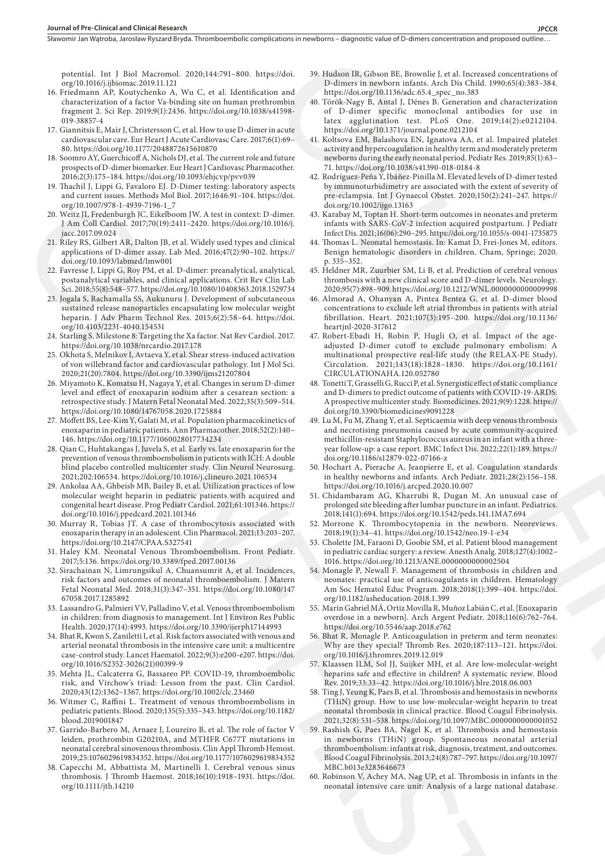potential. Int J Biol Macromol. 2020;144:791–800. https://doi. org/10.1016/j.ijbiomac.2019.11.121

- 16. Friedmann AP, Koutychenko A, Wu C, et al. Identification and characterization of a factor Va-binding site on human prothrombin fragment 2. Sci Rep. 2019;9(1):2436. https://doi.org/10.1038/s41598- 019-38857-4
- 17. Giannitsis E, Mair J, Christersson C, et al. How to use D-dimer in acute cardiovascular care. Eur Heart J Acute Cardiovasc Care. 2017;6(1):69– 80. https://doi.org/10.1177/2048872615610870
- 18. Soomro AY, Guerchicoff A, Nichols DJ, et al. The current role and future prospects of D-dimer biomarker. Eur Heart J Cardiovasc Pharmacother. 2016;2(3):175–184. https://doi.org/10.1093/ehjcvp/pvv039
- 19. Thachil J, Lippi G, Favaloro EJ. D-Dimer testing: laboratory aspects and current issues. Methods Mol Biol. 2017;1646:91–104. https://doi. org/10.1007/978-1-4939-7196-1\_7
- 20. Weitz JI, Fredenburgh JC, Eikelboom JW. A test in context: D-dimer. J Am Coll Cardiol. 2017;70(19):2411–2420. https://doi.org/10.1016/j. jacc.2017.09.024
- 21. Riley RS, Gilbert AR, Dalton JB, et al. Widely used types and clinical applications of D-dimer assay. Lab Med. 2016;47(2):90–102. https:// doi.org/10.1093/labmed/lmw001
- 22. Favresse J, Lippi G, Roy PM, et al. D-dimer: preanalytical, analytical, postanalytical variables, and clinical applications. Crit Rev Clin Lab Sci. 2018;55(8):548–577. https://doi.org/10.1080/10408363.2018.1529734
- 23. Jogala S, Rachamalla SS, Aukunuru J. Development of subcutaneous sustained release nanoparticles encapsulating low molecular weight heparin. J Adv Pharm Technol Res. 2015;6(2):58–64. https://doi. org/10.4103/2231-4040.154531 ONLINE FIRST
	- 24. Starling S. Milestone 8: Targeting the Xa factor. Nat Rev Cardiol. 2017. https://doi.org/10.1038/nrcardio.2017.178
	- 25. Okhota S, Melnikov I, Avtaeva Y, et al. Shear stress-induced activation of von willebrand factor and cardiovascular pathology. Int J Mol Sci. 2020;21(20):7804. https://doi.org/10.3390/ijms21207804
	- 26. Miyamoto K, Komatsu H, Nagaya Y, et al. Changes in serum D-dimer level and effect of enoxaparin sodium after a cesarean section: a retrospective study. J Matern Fetal Neonatal Med. 2022;35(3):509–514. https://doi.org/10.1080/14767058.2020.1725884
	- 27. Moffett BS, Lee-Kim Y, Galati M, et al. Population pharmacokinetics of enoxaparin in pediatric patients. Ann Pharmacother. 2018;52(2):140– 146. https://doi.org/10.1177/1060028017734234
	- 28. Qian C, Huhtakangas J, Juvela S, et al. Early vs. late enoxaparin for the prevention of venous thromboembolism in patients with ICH: A double blind placebo controlled multicenter study. Clin Neurol Neurosurg. 2021;202:106534. https://doi.org/10.1016/j.clineuro.2021.106534
	- 29. Ankolaa AA, Ghbeisb MB, Bailey B, et al. Utilization practices of low molecular weight heparin in pediatric patients with acquired and congenital heart disease. Prog Pediatr Cardiol. 2021;61:101346. https:// doi.org/10.1016/j.ppedcard.2021.101346
	- 30. Murray R, Tobias JT. A case of thrombocytosis associated with enoxaparin therapy in an adolescent. Clin Pharmacol. 2021;13:203–207. https://doi.org/10.2147/CPAA.S327541
	- 31. Haley KM. Neonatal Venous Thromboembolism. Front Pediatr. 2017;5:136. https://doi.org/10.3389/fped.2017.00136
	- 32. Sirachainan N, Limrungsikul A, Chuansumrit A, et al. Incidences, risk factors and outcomes of neonatal thromboembolism. J Matern Fetal Neonatal Med. 2018;31(3):347–351. https://doi.org/10.1080/147 67058.2017.1285892
	- 33. Lassandro G, Palmieri VV, Palladino V, et al. Venous thromboembolism in children: from diagnosis to management. Int J Environ Res Public Health. 2020;17(14):4993. https://doi.org/10.3390/ijerph17144993
	- 34. Bhat R, Kwon S, Zaniletti I, et al. Risk factors associated with venous and arterial neonatal thrombosis in the intensive care unit: a multicentre case-control study. Lancet Haematol. 2022;9(3):e200-e207. https://doi. org/10.1016/S2352-3026(21)00399-9
	- 35. Mehta JL, Calcaterra G, Bassareo PP. COVID-19, thromboembolic risk, and Virchow's triad: Lesson from the past. Clin Cardiol. 2020;43(12):1362–1367. https://doi.org/10.1002/clc.23460
	- 36. Witmer C, Raffini L. Treatment of venous thromboembolism in pediatric patients. Blood. 2020;135(5):335–343. https://doi.org/10.1182/ blood.2019001847
	- 37. Garrido-Barbero M, Arnaez J, Loureiro B, et al. The role of factor V leiden, prothrombin G20210A, and MTHFR C677T mutations in neonatal cerebral sinovenous thrombosis. Clin Appl Thromb Hemost. 2019;25:1076029619834352. https://doi.org/10.1177/1076029619834352
	- 38. Capecchi M, Abbattista M, Martinelli I. Cerebral venous sinus thrombosis. J Thromb Haemost. 2018;16(10):1918–1931. https://doi. org/10.1111/jth.14210
- 39. Hudson IR, Gibson BE, Brownlie J, et al. Increased concentrations of D-dimers in newborn infants. Arch Dis Child. 1990;65(4):383–384. https://doi.org/10.1136/adc.65.4\_spec\_no.383
- 40. Török-Nagy B, Antal J, Dénes B. Generation and characterization of D-dimer specific monoclonal antibodies for use in latex agglutination test. PLoS One. 2019;14(2):e0212104. https://doi.org/10.1371/journal.pone.0212104
- 41. Koltsova EM, Balashova EN, Ignatova AA, et al. Impaired platelet activity and hypercoagulation in healthy term and moderately preterm newborns during the early neonatal period. Pediatr Res. 2019;85(1):63– 71. https://doi.org/10.1038/s41390-018-0184-8
- 42. Rodríguez-Peña Y, Ibáñez-Pinilla M. Elevated levels of D-dimer tested by immunoturbidimetry are associated with the extent of severity of pre-eclampsia. Int J Gynaecol Obstet. 2020;150(2):241–247. https:// doi.org/10.1002/ijgo.13163
- 43. Karabay M, Toptan H. Short-term outcomes in neonates and preterm infants with SARS-CoV-2 infection acquired postpartum. J Pediatr Infect Dis. 2021;16(06):290–295. https://doi.org/10.1055/s-0041-1735875
- 44. Thomas L. Neonatal hemostasis. In: Kamat D, Frei-Jones M, editors. Benign hematologic disorders in children. Cham, Springe; 2020. p. 335–352.
- 45. Heldner MR, Zuurbier SM, Li B, et al. Prediction of cerebral venous thrombosis with a new clinical score and D-dimer levels. Neurology. 2020;95(7):898–909. https://doi.org/10.1212/WNL.0000000000009998
- 46. Almorad A, Ohanyan A, Pintea Bentea G, et al. D-dimer blood concentrations to exclude left atrial thrombus in patients with atrial fibrillation. Heart. 2021;107(3):195–200. https://doi.org/10.1136/ heartjnl-2020-317612
- 47. Robert-Ebadi H, Robin P, Hugli O, et al. Impact of the ageadjusted D-dimer cutoff to exclude pulmonary embolism: A multinational prospective real-life study (the RELAX-PE Study). Circulation. 2021;143(18):1828–1830. https://doi.org/10.1161/ CIRCULATIONAHA.120.052780
- 48. Tonetti T, Grasselli G, Rucci P, et al. Synergistic effect of static compliance and D-dimers to predict outcome of patients with COVID-19-ARDS: A prospective multicenter study. Biomedicines. 2021;9(9):1228. https:// doi.org/10.3390/biomedicines9091228
- 49. Lu M, Fu M, Zhang Y, et al. Septicaemia with deep venous thrombosis and necrotising pneumonia caused by acute community-acquired methicillin-resistant Staphylococcus aureus in an infant with a threeyear follow-up: a case report. BMC Infect Dis. 2022;22(1):189. https:// doi.org/10.1186/s12879-022-07166-z
- 50. Hochart A, Pierache A, Jeanpierre E, et al. Coagulation standards in healthy newborns and infants. Arch Pediatr. 2021;28(2):156–158. https://doi.org/10.1016/j.arcped.2020.10.007
- 51. Chidambaram AG, Kharrubi R, Dugan M. An unusual case of prolonged site bleeding after lumbar puncture in an infant. Pediatrics. 2018;141(1):694. https://doi.org/10.1542/peds.141.1MA7.694
- 52. Morrone K. Thrombocytopenia in the newborn. Neoreviews. 2018;19(1):34–41. https://doi.org/10.1542/neo.19-1-e34
- 53. Cholette JM, Faraoni D, Goobie SM, et al. Patient blood management in pediatric cardiac surgery: a review. Anesth Analg. 2018;127(4):1002– 1016. https://doi.org/10.1213/ANE.0000000000002504
- 54. Monagle P, Newall F. Management of thrombosis in children and neonates: practical use of anticoagulants in children. Hematology Am Soc Hematol Educ Program. 2018;2018(1):399–404. https://doi. org/10.1182/asheducation-2018.1.399
- 55. Marín Gabriel MÁ, Ortiz Movilla R, Muñoz Labián C, et al. [Enoxaparin overdose in a newborn]. Arch Argent Pediatr. 2018;116(6):762–764. https://doi.org/10.5546/aap.2018.e762
- 56. Bhat R, Monagle P. Anticoagulation in preterm and term neonates: Why are they special? Thromb Res. 2020;187:113–121. https://doi. org/10.1016/j.thromres.2019.12.019
- 57. Klaassen ILM, Sol JJ, Suijker MH, et al. Are low-molecular-weight heparins safe and effective in children? A systematic review. Blood Rev. 2019;33:33–42. https://doi.org/10.1016/j.blre.2018.06.003
- 58. Ting J, Yeung K, Paes B, et al. Thrombosis and hemostasis in newborns (THiN) group. How to use low-molecular-weight heparin to treat neonatal thrombosis in clinical practice. Blood Coagul Fibrinolysis. 2021;32(8):531–538. https://doi.org/10.1097/MBC.0000000000001052
- 59. Rashish G, Paes BA, Nagel K, et al. Thrombosis and hemostasis in newborns (THiN) group. Spontaneous neonatal arterial thromboembolism: infants at risk, diagnosis, treatment, and outcomes. Blood Coagul Fibrinolysis. 2013;24(8):787–797. https://doi.org/10.1097/ MBC.b013e3283646673 3830.<br>
281 Hudson Blue Booksels at ell fuereard one<br>centration of Behavior interactions and and the stephent interaction of the<br>stephent interaction of the Dirac at the Dirac Association of the Dirac at<br> $\alpha$  direction of
	- 60. Robinson V, Achey MA, Nag UP, et al. Thrombosis in infants in the neonatal intensive care unit: Analysis of a large national database.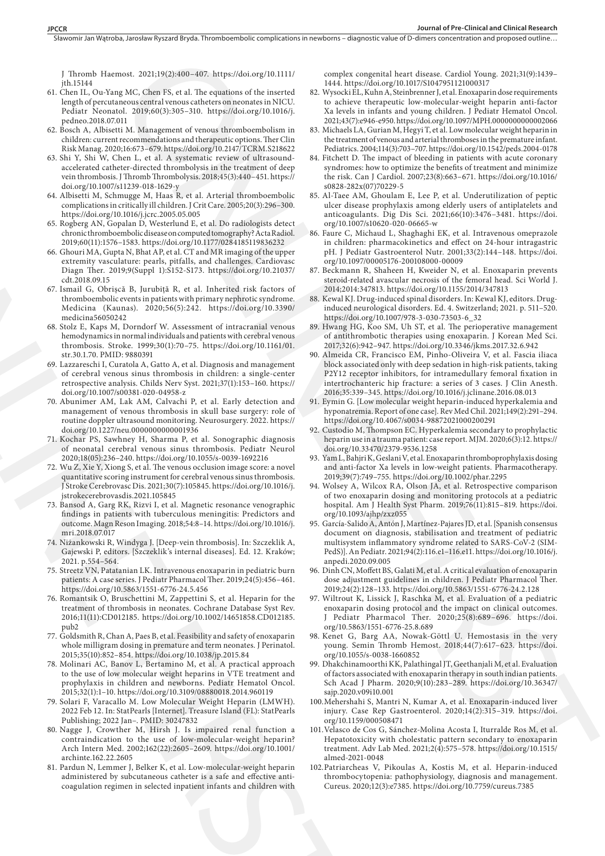J Thromb Haemost. 2021;19(2):400–407. https://doi.org/10.1111/ jth.15144

- 61. Chen IL, Ou-Yang MC, Chen FS, et al. The equations of the inserted length of percutaneous central venous catheters on neonates in NICU. Pediatr Neonatol. 2019;60(3):305–310. https://doi.org/10.1016/j. pedneo.2018.07.011
- 62. Bosch A, Albisetti M. Management of venous thromboembolism in children: current recommendations and therapeutic options. Ther Clin Risk Manag. 2020;16:673–679. https://doi.org/10.2147/TCRM.S218622
- 63. Shi Y, Shi W, Chen L, et al. A systematic review of ultrasoundaccelerated catheter-directed thrombolysis in the treatment of deep vein thrombosis. J Thromb Thrombolysis. 2018;45(3):440–451. https:// doi.org/10.1007/s11239-018-1629-y
- 64. Albisetti M, Schmugge M, Haas R, et al. Arterial thromboembolic complications in critically ill children. J Crit Care. 2005;20(3):296–300. https://doi.org/10.1016/j.jcrc.2005.05.005
- 65. Rogberg AN, Gopalan D, Westerlund E, et al. Do radiologists detect chronic thromboembolic disease on computed tomography? Acta Radiol. 2019;60(11):1576–1583. https://doi.org/10.1177/0284185119836232
- 66. Ghouri MA, Gupta N, Bhat AP, et al. CT and MR imaging of the upper extremity vasculature: pearls, pitfalls, and challenges. Cardiovasc Diagn Ther. 2019;9(Suppl 1):S152-S173. https://doi.org/10.21037/ cdt.2018.09.15
- 67. Ismail G, Obrișcă B, Jurubiță R, et al. Inherited risk factors of thromboembolic events in patients with primary nephrotic syndrome. Medicina (Kaunas). 2020;56(5):242. https://doi.org/10.3390/ medicina56050242
- 68. Stolz E, Kaps M, Dorndorf W. Assessment of intracranial venous hemodynamics in normal individuals and patients with cerebral venous thrombosis. Stroke. 1999;30(1):70–75. https://doi.org/10.1161/01. str.30.1.70. PMID: 9880391
- 69. Lazzareschi I, Curatola A, Gatto A, et al. Diagnosis and management of cerebral venous sinus thrombosis in children: a single-center retrospective analysis. Childs Nerv Syst. 2021;37(1):153–160. https:// doi.org/10.1007/s00381-020-04958-z
- 70. Abunimer AM, Lak AM, Calvachi P, et al. Early detection and management of venous thrombosis in skull base surgery: role of routine doppler ultrasound monitoring. Neurosurgery. 2022. https:// doi.org/10.1227/neu.0000000000001936
- 71. Kochar PS, Sawhney H, Sharma P, et al. Sonographic diagnosis of neonatal cerebral venous sinus thrombosis. Pediatr Neurol 2020;18(05):236–240. https://doi.org/10.1055/s-0039-1692216
- 72. Wu Z, Xie Y, Xiong S, et al. The venous occlusion image score: a novel quantitative scoring instrument for cerebral venous sinus thrombosis. J Stroke Cerebrovasc Dis. 2021;30(7):105845. https://doi.org/10.1016/j. jstrokecerebrovasdis.2021.105845
- 73. Bansod A, Garg RK, Rizvi I, et al. Magnetic resonance venographic findings in patients with tuberculous meningitis: Predictors and outcome. Magn Reson Imaging. 2018;54:8–14. https://doi.org/10.1016/j. mri.2018.07.017
- 74. Niżankowski R, Windyga J. [Deep-vein thrombosis]. In: Szczeklik A, Gajewski P, editors. [Szczeklik's internal diseases]. Ed. 12. Kraków; 2021. p.554–564.
- 75. Streetz VN, Patatanian LK. Intravenous enoxaparin in pediatric burn patients: A case series. J Pediatr Pharmacol Ther. 2019;24(5):456–461. https://doi.org/10.5863/1551-6776-24.5.456
- 76. Romantsik O, Bruschettini M, Zappettini S, et al. Heparin for the treatment of thrombosis in neonates. Cochrane Database Syst Rev. 2016;11(11):CD012185. https://doi.org/10.1002/14651858.CD012185. pub2
- 77. Goldsmith R, Chan A, Paes B, et al. Feasibility and safety of enoxaparin whole milligram dosing in premature and term neonates. J Perinatol. 2015;35(10):852–854. https://doi.org/10.1038/jp.2015.84
- 78. Molinari AC, Banov L, Bertamino M, et al. A practical approach to the use of low molecular weight heparins in VTE treatment and prophylaxis in children and newborns. Pediatr Hematol Oncol. 2015;32(1):1–10. https://doi.org/10.3109/08880018.2014.960119 ONLINE FIRST
	- 79. Solari F, Varacallo M. Low Molecular Weight Heparin (LMWH). 2022 Feb 12. In: StatPearls [Internet]. Treasure Island (FL): StatPearls Publishing; 2022 Jan–. PMID: 30247832
	- 80. Nagge J, Crowther M, Hirsh J. Is impaired renal function a contraindication to the use of low-molecular-weight heparin? Arch Intern Med. 2002;162(22):2605–2609. https://doi.org/10.1001/ archinte.162.22.2605
	- 81. Pardun N, Lemmer J, Belker K, et al. Low-molecular-weight heparin administered by subcutaneous catheter is a safe and effective anticoagulation regimen in selected inpatient infants and children with

complex congenital heart disease. Cardiol Young. 2021;31(9):1439– 1444. https://doi.org/10.1017/S1047951121000317

- 82. Wysocki EL, Kuhn A, Steinbrenner J, et al. Enoxaparin dose requirements to achieve therapeutic low-molecular-weight heparin anti-factor Xa levels in infants and young children. J Pediatr Hematol Oncol. 2021;43(7):e946-e950. https://doi.org/10.1097/MPH.0000000000002066
- 83. Michaels LA, Gurian M, Hegyi T, et al. Low molecular weight heparin in the treatment of venous and arterial thromboses in the premature infant. Pediatrics. 2004;114(3):703–707. https://doi.org/10.1542/peds.2004-0178
- 84. Fitchett D. The impact of bleeding in patients with acute coronary syndromes: how to optimize the benefits of treatment and minimize the risk. Can J Cardiol. 2007;23(8):663–671. https://doi.org/10.1016/ s0828-282x(07)70229-5
- 85. Al-Taee AM, Ghoulam E, Lee P, et al. Underutilization of peptic ulcer disease prophylaxis among elderly users of antiplatelets and anticoagulants. Dig Dis Sci. 2021;66(10):3476–3481. https://doi. org/10.1007/s10620-020-06665-w
- 86. Faure C, Michaud L, Shaghaghi EK, et al. Intravenous omeprazole in children: pharmacokinetics and effect on 24-hour intragastric pH. J Pediatr Gastroenterol Nutr. 2001;33(2):144–148. https://doi. org/10.1097/00005176-200108000-00009
- 87. Beckmann R, Shaheen H, Kweider N, et al. Enoxaparin prevents steroid-related avascular necrosis of the femoral head. Sci World J. 2014;2014:347813. https://doi.org/10.1155/2014/347813
- 88. Kewal KJ. Drug-induced spinal disorders. In: Kewal KJ, editors. Druginduced neurological disorders. Ed. 4. Switzerland; 2021. p. 511–520. https://doi.org/10.1007/978-3-030-73503-6\_32
- 89. Hwang HG, Koo SM, Uh ST, et al. The perioperative management of antithrombotic therapies using enoxaparin. J Korean Med Sci. 2017;32(6):942–947. https://doi.org/10.3346/jkms.2017.32.6.942
- 90. Almeida CR, Francisco EM, Pinho-Oliveira V, et al. Fascia iliaca block associated only with deep sedation in high-risk patients, taking P2Y12 receptor inhibitors, for intramedullary femoral fixation in intertrochanteric hip fracture: a series of 3 cases. J Clin Anesth. 2016;35:339–345. https://doi.org/10.1016/j.jclinane.2016.08.013 HE 20 C (PC) = 10 C (PC) = 10 C (PC) = 10 C (PC) = 10 C (PC) = 10 C (PC) = 10 C (PC) = 10 C (PC) = 10 C (PC) = 10 C (PC) = 10 C (PC) = 10 C (PC) = 10 C (PC) = 10 C (PC) = 10 C (PC) = 10 C (PC) = 10 C (PC) = 10 C (PC) =
	- 91. Eymin G. [Low molecular weight heparin-induced hyperkalemia and hyponatremia. Report of one case]. Rev Med Chil. 2021;149(2):291–294. https://doi.org/10.4067/s0034-98872021000200291
	- 92. Custodio M, Thompson EC. Hyperkalemia secondary to prophylactic heparin use in a trauma patient: case report. MJM. 2020;6(3):12. https:// doi.org/10.33470/2379-9536.1258
	- 93. Yam L, Bahjri K, Geslani V, et al. Enoxaparin thromboprophylaxis dosing and anti-factor Xa levels in low-weight patients. Pharmacotherapy. 2019;39(7):749–755. https://doi.org/10.1002/phar.2295
	- 94. Wolsey A, Wilcox RA, Olson JA, et al. Retrospective comparison of two enoxaparin dosing and monitoring protocols at a pediatric hospital. Am J Health Syst Pharm. 2019;76(11):815–819. https://doi. org/10.1093/ajhp/zxz055
	- 95. García-Salido A, Antón J, Martínez-Pajares JD, et al. [Spanish consensus document on diagnosis, stabilisation and treatment of pediatric multisystem inflammatory syndrome related to SARS-CoV-2 (SIM-PedS)]. An Pediatr. 2021;94(2):116.e1–116.e11. https://doi.org/10.1016/j. anpedi.2020.09.005
	- 96. Dinh CN, Moffett BS, Galati M, et al. A critical evaluation of enoxaparin dose adjustment guidelines in children. J Pediatr Pharmacol Ther. 2019;24(2):128–133. https://doi.org/10.5863/1551-6776-24.2.128
	- 97. Wiltrout K, Lissick J, Raschka M, et al. Evaluation of a pediatric enoxaparin dosing protocol and the impact on clinical outcomes. J Pediatr Pharmacol Ther. 2020;25(8):689–696. https://doi. org/10.5863/1551-6776-25.8.689
	- 98. Kenet G, Barg AA, Nowak-Göttl U. Hemostasis in the very young. Semin Thromb Hemost. 2018;44(7):617–623. https://doi. org/10.1055/s-0038-1660852
	- 99. Dhakchinamoorthi KK, Palathingal JT, Geethanjali M, et al. Evaluation of factors associated with enoxaparin therapy in south indian patients. Sch Acad J Pharm. 2020;9(10):283–289. https://doi.org/10.36347/ sajp.2020.v09i10.001
	- 100.Mehershahi S, Mantri N, Kumar A, et al. Enoxaparin-induced liver injury. Case Rep Gastroenterol. 2020;14(2):315–319. https://doi. org/10.1159/000508471
	- 101.Velasco de Cos G, Sánchez-Molina Acosta I, Iturralde Ros M, et al. Hepatotoxicity with cholestatic pattern secondary to enoxaparin treatment. Adv Lab Med. 2021;2(4):575–578. https://doi.org/10.1515/ almed-2021-0048
	- 102.Patriarcheas V, Pikoulas A, Kostis M, et al. Heparin-induced thrombocytopenia: pathophysiology, diagnosis and management. Cureus. 2020;12(3):e7385. https://doi.org/10.7759/cureus.7385